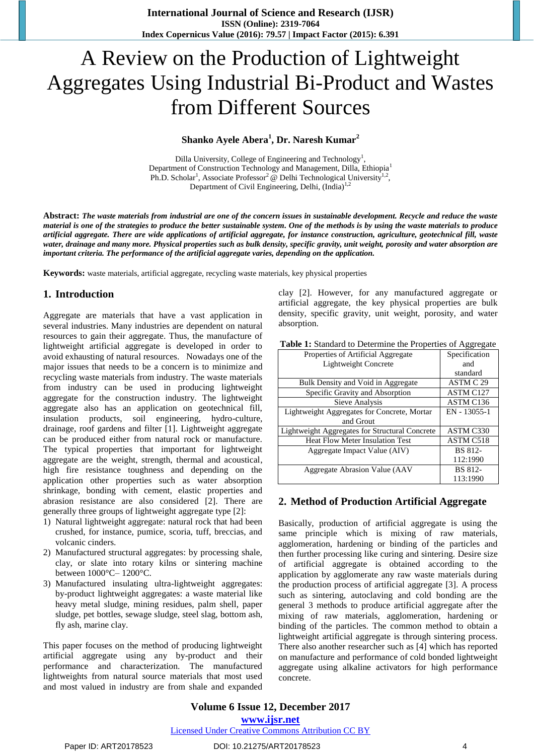**International Journal of Science and Research (IJSR) ISSN (Online): 2319-7064 Index Copernicus Value (2016): 79.57 | Impact Factor (2015): 6.391**

# A Review on the Production of Lightweight Aggregates Using Industrial Bi-Product and Wastes from Different Sources

# **Shanko Ayele Abera<sup>1</sup> , Dr. Naresh Kumar<sup>2</sup>**

Dilla University, College of Engineering and Technology<sup>1</sup>, Department of Construction Technology and Management, Dilla, Ethiopia<sup>1</sup> Ph.D. Scholar<sup>1</sup>, Associate Professor<sup>2</sup> @ Delhi Technological University<sup>1,2</sup>, Department of Civil Engineering, Delhi,  $(India)^{1,2}$ 

**Abstract:** *The waste materials from industrial are one of the concern issues in sustainable development. Recycle and reduce the waste material is one of the strategies to produce the better sustainable system. One of the methods is by using the waste materials to produce artificial aggregate. There are wide applications of artificial aggregate, for instance construction, agriculture, geotechnical fill, waste water, drainage and many more. Physical properties such as bulk density, specific gravity, unit weight, porosity and water absorption are important criteria. The performance of the artificial aggregate varies, depending on the application.*

**Keywords:** waste materials, artificial aggregate, recycling waste materials, key physical properties

#### **1. Introduction**

Aggregate are materials that have a vast application in several industries. Many industries are dependent on natural resources to gain their aggregate. Thus, the manufacture of lightweight artificial aggregate is developed in order to avoid exhausting of natural resources. Nowadays one of the major issues that needs to be a concern is to minimize and recycling waste materials from industry. The waste materials from industry can be used in producing lightweight aggregate for the construction industry. The lightweight aggregate also has an application on geotechnical fill, insulation products, soil engineering, hydro-culture, drainage, roof gardens and filter [1]. Lightweight aggregate can be produced either from natural rock or manufacture. The typical properties that important for lightweight aggregate are the weight, strength, thermal and acoustical, high fire resistance toughness and depending on the application other properties such as water absorption shrinkage, bonding with cement, elastic properties and abrasion resistance are also considered [2]. There are generally three groups of lightweight aggregate type [2]:

- 1) Natural lightweight aggregate: natural rock that had been crushed, for instance, pumice, scoria, tuff, breccias, and volcanic cinders.
- 2) Manufactured structural aggregates: by processing shale, clay, or slate into rotary kilns or sintering machine between 1000°C– 1200°C.
- 3) Manufactured insulating ultra-lightweight aggregates: by-product lightweight aggregates: a waste material like heavy metal sludge, mining residues, palm shell, paper sludge, pet bottles, sewage sludge, steel slag, bottom ash, fly ash, marine clay.

This paper focuses on the method of producing lightweight artificial aggregate using any by-product and their performance and characterization. The manufactured lightweights from natural source materials that most used and most valued in industry are from shale and expanded

clay [2]. However, for any manufactured aggregate or artificial aggregate, the key physical properties are bulk density, specific gravity, unit weight, porosity, and water absorption.

| Properties of Artificial Aggregate             | Specification    |
|------------------------------------------------|------------------|
| Lightweight Concrete                           | and              |
|                                                | standard         |
| Bulk Density and Void in Aggregate             | ASTM C 29        |
| Specific Gravity and Absorption                | <b>ASTM C127</b> |
| Sieve Analysis                                 | ASTM C136        |
| Lightweight Aggregates for Concrete, Mortar    | EN - 13055-1     |
| and Grout                                      |                  |
| Lightweight Aggregates for Structural Concrete | ASTM C330        |
| <b>Heat Flow Meter Insulation Test</b>         | ASTM C518        |
| Aggregate Impact Value (AIV)                   | <b>BS 812-</b>   |
|                                                | 112:1990         |
| Aggregate Abrasion Value (AAV                  | <b>BS</b> 812-   |
|                                                | 113:1990         |

# **2. Method of Production Artificial Aggregate**

Basically, production of artificial aggregate is using the same principle which is mixing of raw materials, agglomeration, hardening or binding of the particles and then further processing like curing and sintering. Desire size of artificial aggregate is obtained according to the application by agglomerate any raw waste materials during the production process of artificial aggregate [3]. A process such as sintering, autoclaving and cold bonding are the general 3 methods to produce artificial aggregate after the mixing of raw materials, agglomeration, hardening or binding of the particles. The common method to obtain a lightweight artificial aggregate is through sintering process. There also another researcher such as [4] which has reported on manufacture and performance of cold bonded lightweight aggregate using alkaline activators for high performance concrete.

**Volume 6 Issue 12, December 2017 <www.ijsr.net>** [Licensed Under Creative Commons Attribution CC BY](http://creativecommons.org/licenses/by/4.0/)

#### Paper ID: ART20178523 DOI: 10.21275/ART20178523 4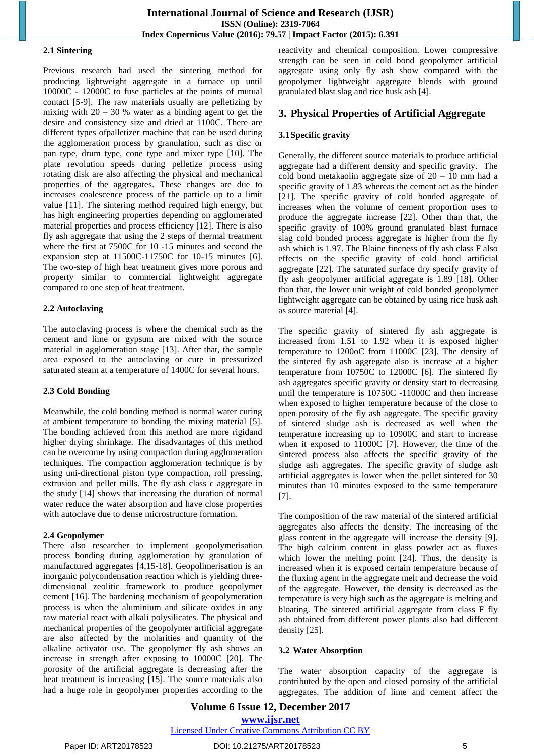#### **2.1 Sintering**

Previous research had used the sintering method for producing lightweight aggregate in a furnace up until 10000C - 12000C to fuse particles at the points of mutual contact [5-9]. The raw materials usually are pelletizing by mixing with  $20 - 30$  % water as a binding agent to get the desire and consistency size and dried at 1100C. There are different types ofpalletizer machine that can be used during the agglomeration process by granulation, such as disc or pan type, drum type, cone type and mixer type [10]. The plate revolution speeds during pelletize process using rotating disk are also affecting the physical and mechanical properties of the aggregates. These changes are due to increases coalescence process of the particle up to a limit value [11]. The sintering method required high energy, but has high engineering properties depending on agglomerated material properties and process efficiency [12]. There is also fly ash aggregate that using the 2 steps of thermal treatment where the first at 7500C for 10 -15 minutes and second the expansion step at 11500C-11750C for 10-15 minutes [6]. The two-step of high heat treatment gives more porous and property similar to commercial lightweight aggregate compared to one step of heat treatment.

#### **2.2 Autoclaving**

The autoclaving process is where the chemical such as the cement and lime or gypsum are mixed with the source material in agglomeration stage [13]. After that, the sample area exposed to the autoclaving or cure in pressurized saturated steam at a temperature of 1400C for several hours.

# **2.3 Cold Bonding**

Meanwhile, the cold bonding method is normal water curing at ambient temperature to bonding the mixing material [5]. The bonding achieved from this method are more rigidand higher drying shrinkage. The disadvantages of this method can be overcome by using compaction during agglomeration techniques. The compaction agglomeration technique is by using uni-directional piston type compaction, roll pressing, extrusion and pellet mills. The fly ash class c aggregate in the study [14] shows that increasing the duration of normal water reduce the water absorption and have close properties with autoclave due to dense microstructure formation.

# **2.4 Geopolymer**

There also researcher to implement geopolymerisation process bonding during agglomeration by granulation of manufactured aggregates [4,15-18]. Geopolimerisation is an inorganic polycondensation reaction which is yielding threedimensional zeolitic framework to produce geopolymer cement [16]. The hardening mechanism of geopolymeration process is when the aluminium and silicate oxides in any raw material react with alkali polysilicates. The physical and mechanical properties of the geopolymer artificial aggregate are also affected by the molarities and quantity of the alkaline activator use. The geopolymer fly ash shows an increase in strength after exposing to 10000C [20]. The porosity of the artificial aggregate is decreasing after the heat treatment is increasing [15]. The source materials also had a huge role in geopolymer properties according to the reactivity and chemical composition. Lower compressive strength can be seen in cold bond geopolymer artificial aggregate using only fly ash show compared with the geopolymer lightweight aggregate blends with ground granulated blast slag and rice husk ash [4].

# **3. Physical Properties of Artificial Aggregate**

#### **3.1Specific gravity**

Generally, the different source materials to produce artificial aggregate had a different density and specific gravity. The cold bond metakaolin aggregate size of  $20 - 10$  mm had a specific gravity of 1.83 whereas the cement act as the binder [21]. The specific gravity of cold bonded aggregate of increases when the volume of cement proportion uses to produce the aggregate increase [22]. Other than that, the specific gravity of 100% ground granulated blast furnace slag cold bonded process aggregate is higher from the fly ash which is 1.97. The Blaine fineness of fly ash class F also effects on the specific gravity of cold bond artificial aggregate [22]. The saturated surface dry specify gravity of fly ash geopolymer artificial aggregate is 1.89 [18]. Other than that, the lower unit weight of cold bonded geopolymer lightweight aggregate can be obtained by using rice husk ash as source material [4].

The specific gravity of sintered fly ash aggregate is increased from 1.51 to 1.92 when it is exposed higher temperature to 1200oC from 11000C [23]. The density of the sintered fly ash aggregate also is increase at a higher temperature from 10750C to 12000C [6]. The sintered fly ash aggregates specific gravity or density start to decreasing until the temperature is 10750C -11000C and then increase when exposed to higher temperature because of the close to open porosity of the fly ash aggregate. The specific gravity of sintered sludge ash is decreased as well when the temperature increasing up to 10900C and start to increase when it exposed to 11000C [7]. However, the time of the sintered process also affects the specific gravity of the sludge ash aggregates. The specific gravity of sludge ash artificial aggregates is lower when the pellet sintered for 30 minutes than 10 minutes exposed to the same temperature [7].

The composition of the raw material of the sintered artificial aggregates also affects the density. The increasing of the glass content in the aggregate will increase the density [9]. The high calcium content in glass powder act as fluxes which lower the melting point [24]. Thus, the density is increased when it is exposed certain temperature because of the fluxing agent in the aggregate melt and decrease the void of the aggregate. However, the density is decreased as the temperature is very high such as the aggregate is melting and bloating. The sintered artificial aggregate from class F fly ash obtained from different power plants also had different density [25].

#### **3.2 Water Absorption**

The water absorption capacity of the aggregate is contributed by the open and closed porosity of the artificial aggregates. The addition of lime and cement affect the

# **Volume 6 Issue 12, December 2017 <www.ijsr.net>** [Licensed Under Creative Commons Attribution CC BY](http://creativecommons.org/licenses/by/4.0/)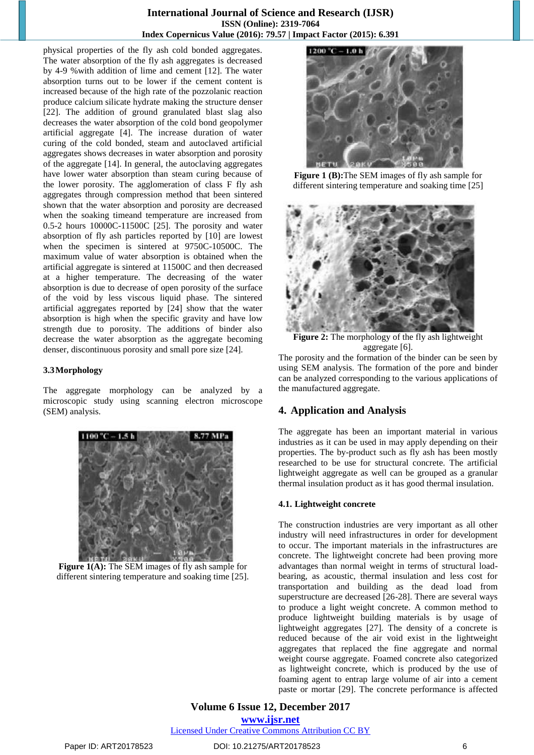#### **International Journal of Science and Research (IJSR) ISSN (Online): 2319-7064 Index Copernicus Value (2016): 79.57 | Impact Factor (2015): 6.391**

physical properties of the fly ash cold bonded aggregates. The water absorption of the fly ash aggregates is decreased by 4-9 %with addition of lime and cement [12]. The water absorption turns out to be lower if the cement content is increased because of the high rate of the pozzolanic reaction produce calcium silicate hydrate making the structure denser [22]. The addition of ground granulated blast slag also decreases the water absorption of the cold bond geopolymer artificial aggregate [4]. The increase duration of water curing of the cold bonded, steam and autoclaved artificial aggregates shows decreases in water absorption and porosity of the aggregate [14]. In general, the autoclaving aggregates have lower water absorption than steam curing because of the lower porosity. The agglomeration of class F fly ash aggregates through compression method that been sintered shown that the water absorption and porosity are decreased when the soaking timeand temperature are increased from 0.5-2 hours 10000C-11500C [25]. The porosity and water absorption of fly ash particles reported by [10] are lowest when the specimen is sintered at 9750C-10500C. The maximum value of water absorption is obtained when the artificial aggregate is sintered at 11500C and then decreased at a higher temperature. The decreasing of the water absorption is due to decrease of open porosity of the surface of the void by less viscous liquid phase. The sintered artificial aggregates reported by [24] show that the water absorption is high when the specific gravity and have low strength due to porosity. The additions of binder also decrease the water absorption as the aggregate becoming denser, discontinuous porosity and small pore size [24].

#### **3.3Morphology**

The aggregate morphology can be analyzed by a microscopic study using scanning electron microscope (SEM) analysis.



**Figure 1(A):** The SEM images of fly ash sample for different sintering temperature and soaking time [25].



**Figure 1 (B):**The SEM images of fly ash sample for different sintering temperature and soaking time [25]



**Figure 2:** The morphology of the fly ash lightweight aggregate [6].

The porosity and the formation of the binder can be seen by using SEM analysis. The formation of the pore and binder can be analyzed corresponding to the various applications of the manufactured aggregate.

# **4. Application and Analysis**

The aggregate has been an important material in various industries as it can be used in may apply depending on their properties. The by-product such as fly ash has been mostly researched to be use for structural concrete. The artificial lightweight aggregate as well can be grouped as a granular thermal insulation product as it has good thermal insulation.

#### **4.1. Lightweight concrete**

The construction industries are very important as all other industry will need infrastructures in order for development to occur. The important materials in the infrastructures are concrete. The lightweight concrete had been proving more advantages than normal weight in terms of structural loadbearing, as acoustic, thermal insulation and less cost for transportation and building as the dead load from superstructure are decreased [26-28]. There are several ways to produce a light weight concrete. A common method to produce lightweight building materials is by usage of lightweight aggregates [27]. The density of a concrete is reduced because of the air void exist in the lightweight aggregates that replaced the fine aggregate and normal weight course aggregate. Foamed concrete also categorized as lightweight concrete, which is produced by the use of foaming agent to entrap large volume of air into a cement paste or mortar [29]. The concrete performance is affected

**Volume 6 Issue 12, December 2017 <www.ijsr.net>** [Licensed Under Creative Commons Attribution CC BY](http://creativecommons.org/licenses/by/4.0/)